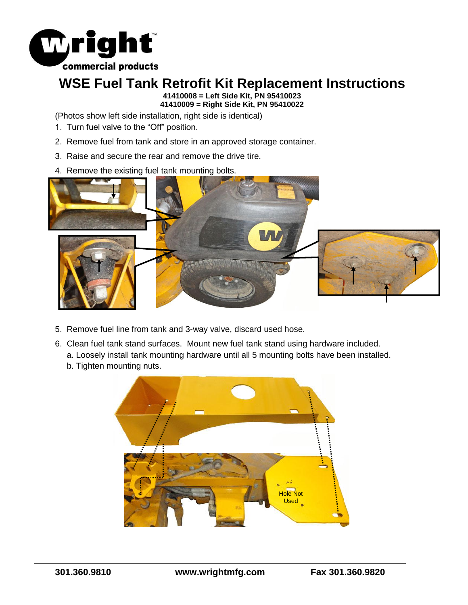

## **WSE Fuel Tank Retrofit Kit Replacement Instructions**

**41410008 = Left Side Kit, PN 95410023 41410009 = Right Side Kit, PN 95410022**

(Photos show left side installation, right side is identical)

- 1. Turn fuel valve to the "Off" position.
- 2. Remove fuel from tank and store in an approved storage container.
- 3. Raise and secure the rear and remove the drive tire.
- 4. Remove the existing fuel tank mounting bolts.



- 5. Remove fuel line from tank and 3-way valve, discard used hose.
- 6. Clean fuel tank stand surfaces. Mount new fuel tank stand using hardware included.
	- a. Loosely install tank mounting hardware until all 5 mounting bolts have been installed.
	- b. Tighten mounting nuts.

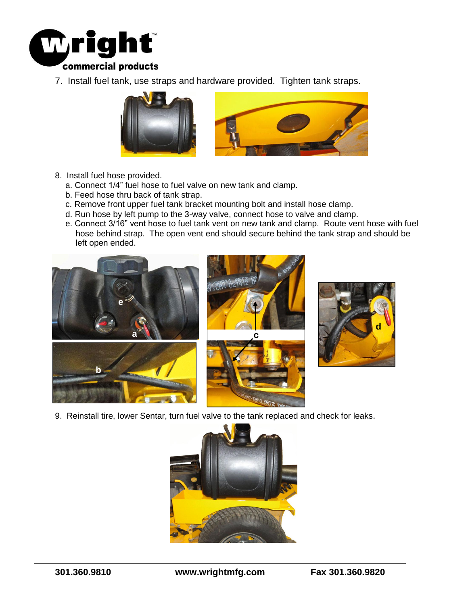

7. Install fuel tank, use straps and hardware provided. Tighten tank straps.



- 8. Install fuel hose provided.
	- a. Connect 1/4" fuel hose to fuel valve on new tank and clamp.
	- b. Feed hose thru back of tank strap.
	- c. Remove front upper fuel tank bracket mounting bolt and install hose clamp.
	- d. Run hose by left pump to the 3-way valve, connect hose to valve and clamp.
	- e. Connect 3/16" vent hose to fuel tank vent on new tank and clamp. Route vent hose with fuel hose behind strap. The open vent end should secure behind the tank strap and should be left open ended.





9. Reinstall tire, lower Sentar, turn fuel valve to the tank replaced and check for leaks.